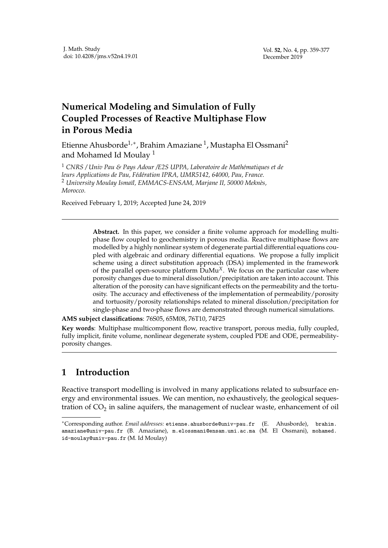## **Numerical Modeling and Simulation of Fully Coupled Processes of Reactive Multiphase Flow in Porous Media**

Etienne Ahusborde $^{1,\ast}$ , Brahim Amaziane  $^1$ , Mustapha El Ossmani $^2$ and Mohamed Id Moulay<sup>1</sup>

<sup>1</sup> CNRS / Univ Pau & Pays Adour / E2S UPPA, Laboratoire de Mathématiques et de *leurs Applications de Pau, F´ed´eration IPRA, UMR5142, 64000, Pau, France.* <sup>2</sup> University Moulay Ismaïl, EMMACS-ENSAM, Marjane II, 50000 Meknès, *Morocco.*

Received February 1, 2019; Accepted June 24, 2019

**Abstract.** In this paper, we consider a finite volume approach for modelling multiphase flow coupled to geochemistry in porous media. Reactive multiphase flows are modelled by a highly nonlinear system of degenerate partial differential equations coupled with algebraic and ordinary differential equations. We propose a fully implicit scheme using a direct substitution approach (DSA) implemented in the framework of the parallel open-source platform DuMu*X*. We focus on the particular case where porosity changes due to mineral dissolution/precipitation are taken into account. This alteration of the porosity can have significant effects on the permeability and the tortuosity. The accuracy and effectiveness of the implementation of permeability/porosity and tortuosity/porosity relationships related to mineral dissolution/precipitation for single-phase and two-phase flows are demonstrated through numerical simulations.

**AMS subject classifications**: 76S05, 65M08, 76T10, 74F25

**Key words**: Multiphase multicomponent flow, reactive transport, porous media, fully coupled, fully implicit, finite volume, nonlinear degenerate system, coupled PDE and ODE, permeabilityporosity changes.

## **1 Introduction**

Reactive transport modelling is involved in many applications related to subsurface energy and environmental issues. We can mention, no exhaustively, the geological sequestration of CO<sub>2</sub> in saline aquifers, the management of nuclear waste, enhancement of oil

<sup>∗</sup>Corresponding author. *Email addresses:* etienne.ahusborde@univ-pau.fr (E. Ahusborde), brahim. amaziane@univ-pau.fr (B. Amaziane), m.elossmani@ensam.umi.ac.ma (M. El Ossmani), mohamed. id-moulay@univ-pau.fr (M. Id Moulay)